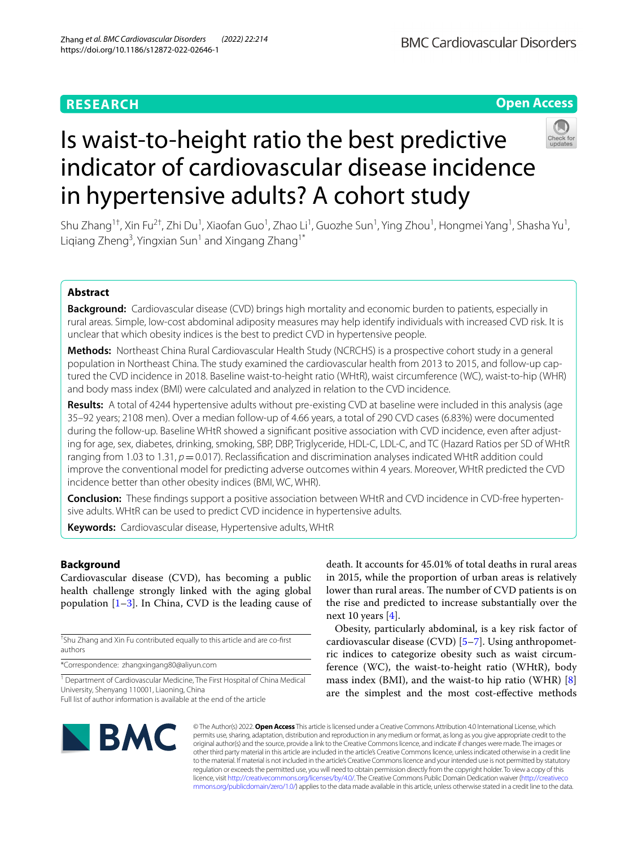# **RESEARCH**

# **Open Access**



# Is waist-to-height ratio the best predictive indicator of cardiovascular disease incidence in hypertensive adults? A cohort study

Shu Zhang<sup>1†</sup>, Xin Fu<sup>2†</sup>, Zhi Du<sup>1</sup>, Xiaofan Guo<sup>1</sup>, Zhao Li<sup>1</sup>, Guozhe Sun<sup>1</sup>, Ying Zhou<sup>1</sup>, Hongmei Yang<sup>1</sup>, Shasha Yu<sup>1</sup>, Liqiang Zheng<sup>3</sup>, Yingxian Sun<sup>1</sup> and Xingang Zhang<sup>1\*</sup>

# **Abstract**

**Background:** Cardiovascular disease (CVD) brings high mortality and economic burden to patients, especially in rural areas. Simple, low-cost abdominal adiposity measures may help identify individuals with increased CVD risk. It is unclear that which obesity indices is the best to predict CVD in hypertensive people.

**Methods:** Northeast China Rural Cardiovascular Health Study (NCRCHS) is a prospective cohort study in a general population in Northeast China. The study examined the cardiovascular health from 2013 to 2015, and follow-up captured the CVD incidence in 2018. Baseline waist-to-height ratio (WHtR), waist circumference (WC), waist-to-hip (WHR) and body mass index (BMI) were calculated and analyzed in relation to the CVD incidence.

**Results:** A total of 4244 hypertensive adults without pre-existing CVD at baseline were included in this analysis (age 35–92 years; 2108 men). Over a median follow-up of 4.66 years, a total of 290 CVD cases (6.83%) were documented during the follow-up. Baseline WHtR showed a signifcant positive association with CVD incidence, even after adjusting for age, sex, diabetes, drinking, smoking, SBP, DBP, Triglyceride, HDL-C, LDL-C, and TC (Hazard Ratios per SD of WHtR ranging from 1.03 to 1.31,  $p=0.017$ ). Reclassification and discrimination analyses indicated WHtR addition could improve the conventional model for predicting adverse outcomes within 4 years. Moreover, WHtR predicted the CVD incidence better than other obesity indices (BMI, WC, WHR).

**Conclusion:** These fndings support a positive association between WHtR and CVD incidence in CVD-free hypertensive adults. WHtR can be used to predict CVD incidence in hypertensive adults.

**Keywords:** Cardiovascular disease, Hypertensive adults, WHtR

# **Background**

Cardiovascular disease (CVD), has becoming a public health challenge strongly linked with the aging global population  $[1-3]$  $[1-3]$  $[1-3]$ . In China, CVD is the leading cause of

† Shu Zhang and Xin Fu contributed equally to this article and are co-frst authors

\*Correspondence: zhangxingang80@aliyun.com

<sup>1</sup> Department of Cardiovascular Medicine, The First Hospital of China Medical University, Shenyang 110001, Liaoning, China Full list of author information is available at the end of the article

death. It accounts for 45.01% of total deaths in rural areas in 2015, while the proportion of urban areas is relatively lower than rural areas. The number of CVD patients is on the rise and predicted to increase substantially over the next 10 years  $[4]$  $[4]$  $[4]$ .

Obesity, particularly abdominal, is a key risk factor of cardiovascular disease (CVD) [[5–](#page-5-3)[7](#page-5-4)]. Using anthropometric indices to categorize obesity such as waist circumference (WC), the waist-to-height ratio (WHtR), body mass index (BMI), and the waist-to hip ratio (WHR) [\[8](#page-5-5)] are the simplest and the most cost-efective methods



© The Author(s) 2022. **Open Access** This article is licensed under a Creative Commons Attribution 4.0 International License, which permits use, sharing, adaptation, distribution and reproduction in any medium or format, as long as you give appropriate credit to the original author(s) and the source, provide a link to the Creative Commons licence, and indicate if changes were made. The images or other third party material in this article are included in the article's Creative Commons licence, unless indicated otherwise in a credit line to the material. If material is not included in the article's Creative Commons licence and your intended use is not permitted by statutory regulation or exceeds the permitted use, you will need to obtain permission directly from the copyright holder. To view a copy of this licence, visit [http://creativecommons.org/licenses/by/4.0/.](http://creativecommons.org/licenses/by/4.0/) The Creative Commons Public Domain Dedication waiver ([http://creativeco](http://creativecommons.org/publicdomain/zero/1.0/) [mmons.org/publicdomain/zero/1.0/](http://creativecommons.org/publicdomain/zero/1.0/)) applies to the data made available in this article, unless otherwise stated in a credit line to the data.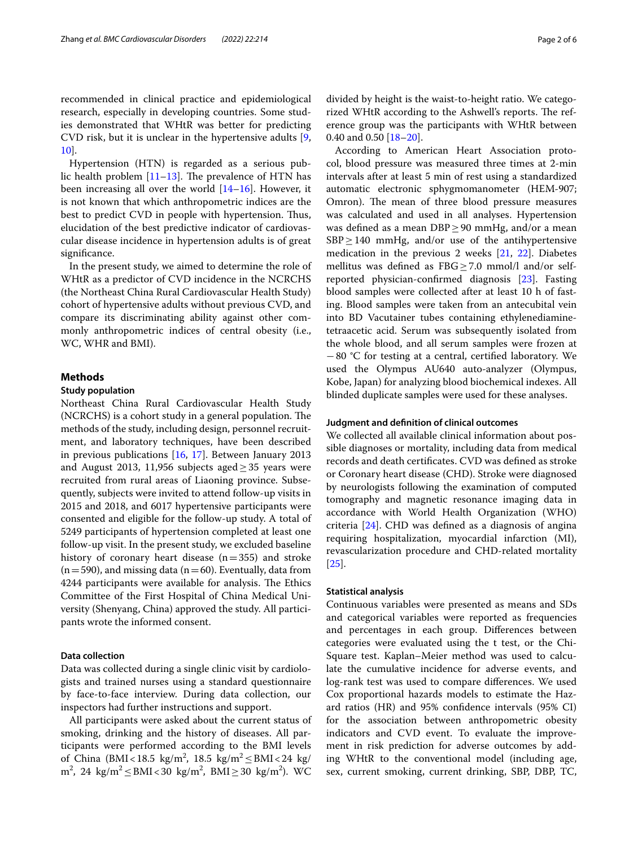recommended in clinical practice and epidemiological research, especially in developing countries. Some studies demonstrated that WHtR was better for predicting CVD risk, but it is unclear in the hypertensive adults [\[9](#page-5-6), [10\]](#page-5-7).

Hypertension (HTN) is regarded as a serious public health problem  $[11–13]$  $[11–13]$  $[11–13]$  $[11–13]$ . The prevalence of HTN has been increasing all over the world [[14–](#page-5-10)[16](#page-5-11)]. However, it is not known that which anthropometric indices are the best to predict CVD in people with hypertension. Thus, elucidation of the best predictive indicator of cardiovascular disease incidence in hypertension adults is of great significance.

In the present study, we aimed to determine the role of WHtR as a predictor of CVD incidence in the NCRCHS (the Northeast China Rural Cardiovascular Health Study) cohort of hypertensive adults without previous CVD, and compare its discriminating ability against other commonly anthropometric indices of central obesity (i.e., WC, WHR and BMI).

#### **Methods**

#### **Study population**

Northeast China Rural Cardiovascular Health Study (NCRCHS) is a cohort study in a general population. The methods of the study, including design, personnel recruitment, and laboratory techniques, have been described in previous publications [\[16](#page-5-11), [17\]](#page-5-12). Between January 2013 and August 2013, 11,956 subjects aged  $\geq$  35 years were recruited from rural areas of Liaoning province. Subsequently, subjects were invited to attend follow-up visits in 2015 and 2018, and 6017 hypertensive participants were consented and eligible for the follow-up study. A total of 5249 participants of hypertension completed at least one follow-up visit. In the present study, we excluded baseline history of coronary heart disease  $(n=355)$  and stroke  $(n=590)$ , and missing data (n=60). Eventually, data from 4244 participants were available for analysis. The Ethics Committee of the First Hospital of China Medical University (Shenyang, China) approved the study. All participants wrote the informed consent.

#### **Data collection**

Data was collected during a single clinic visit by cardiologists and trained nurses using a standard questionnaire by face-to-face interview. During data collection, our inspectors had further instructions and support.

All participants were asked about the current status of smoking, drinking and the history of diseases. All participants were performed according to the BMI levels of China (BMI<18.5 kg/m<sup>2</sup>, 18.5 kg/m<sup>2</sup> ≤ BMI<24 kg/ m<sup>2</sup>, 24 kg/m<sup>2</sup> ≤ BMI < 30 kg/m<sup>2</sup>, BMI ≥ 30 kg/m<sup>2</sup>). WC divided by height is the waist-to-height ratio. We categorized WHtR according to the Ashwell's reports. The reference group was the participants with WHtR between 0.40 and 0.50 [\[18–](#page-5-13)[20\]](#page-5-14).

According to American Heart Association protocol, blood pressure was measured three times at 2-min intervals after at least 5 min of rest using a standardized automatic electronic sphygmomanometer (HEM-907; Omron). The mean of three blood pressure measures was calculated and used in all analyses. Hypertension was defined as a mean  $DBP \geq 90$  mmHg, and/or a mean  $SBP \geq 140$  mmHg, and/or use of the antihypertensive medication in the previous 2 weeks [[21,](#page-5-15) [22](#page-5-16)]. Diabetes mellitus was defined as  $FBG \geq 7.0$  mmol/l and/or selfreported physician-confrmed diagnosis [\[23\]](#page-5-17). Fasting blood samples were collected after at least 10 h of fasting. Blood samples were taken from an antecubital vein into BD Vacutainer tubes containing ethylenediaminetetraacetic acid. Serum was subsequently isolated from the whole blood, and all serum samples were frozen at −80 °C for testing at a central, certifed laboratory. We used the Olympus AU640 auto-analyzer (Olympus, Kobe, Japan) for analyzing blood biochemical indexes. All blinded duplicate samples were used for these analyses.

#### **Judgment and defnition of clinical outcomes**

We collected all available clinical information about possible diagnoses or mortality, including data from medical records and death certifcates. CVD was defned as stroke or Coronary heart disease (CHD). Stroke were diagnosed by neurologists following the examination of computed tomography and magnetic resonance imaging data in accordance with World Health Organization (WHO) criteria [\[24\]](#page-5-18). CHD was defned as a diagnosis of angina requiring hospitalization, myocardial infarction (MI), revascularization procedure and CHD-related mortality [[25\]](#page-5-19).

#### **Statistical analysis**

Continuous variables were presented as means and SDs and categorical variables were reported as frequencies and percentages in each group. Diferences between categories were evaluated using the t test, or the Chi-Square test. Kaplan–Meier method was used to calculate the cumulative incidence for adverse events, and log-rank test was used to compare diferences. We used Cox proportional hazards models to estimate the Hazard ratios (HR) and 95% confdence intervals (95% CI) for the association between anthropometric obesity indicators and CVD event. To evaluate the improvement in risk prediction for adverse outcomes by adding WHtR to the conventional model (including age, sex, current smoking, current drinking, SBP, DBP, TC,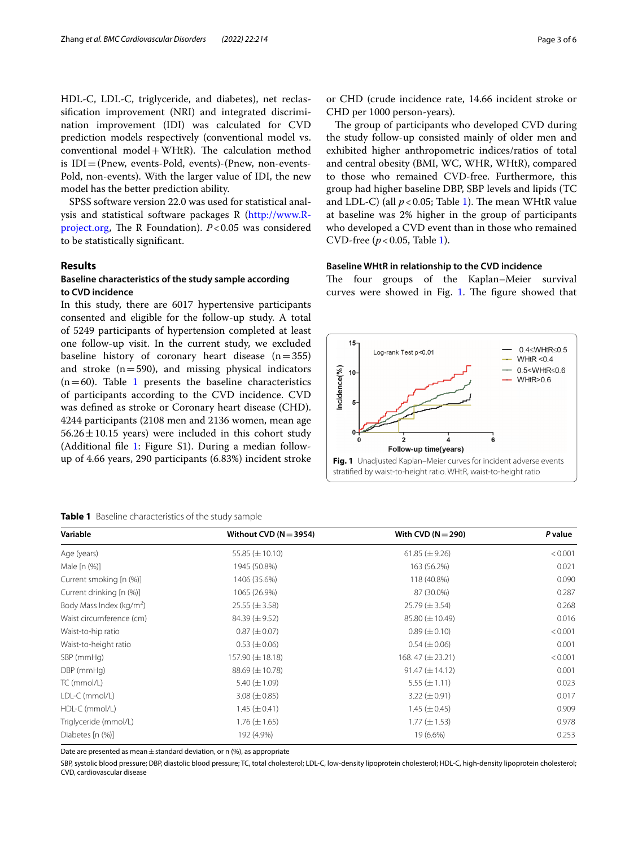HDL-C, LDL-C, triglyceride, and diabetes), net reclassifcation improvement (NRI) and integrated discrimination improvement (IDI) was calculated for CVD prediction models respectively (conventional model vs. conventional  $model + WHtR$ ). The calculation method is IDI=(Pnew, events-Pold, events)-(Pnew, non-events-Pold, non-events). With the larger value of IDI, the new model has the better prediction ability.

SPSS software version 22.0 was used for statistical analysis and statistical software packages R ([http://www.R](http://www.R-project.org)[project.org,](http://www.R-project.org) The R Foundation).  $P < 0.05$  was considered to be statistically signifcant.

#### **Results**

### **Baseline characteristics of the study sample according to CVD incidence**

In this study, there are 6017 hypertensive participants consented and eligible for the follow-up study. A total of 5249 participants of hypertension completed at least one follow-up visit. In the current study, we excluded baseline history of coronary heart disease  $(n=355)$ and stroke  $(n=590)$ , and missing physical indicators  $(n=60)$ . Table [1](#page-2-0) presents the baseline characteristics of participants according to the CVD incidence. CVD was defned as stroke or Coronary heart disease (CHD). 4244 participants (2108 men and 2136 women, mean age  $56.26 \pm 10.15$  years) were included in this cohort study (Additional fle [1:](#page-4-0) Figure S1). During a median followup of 4.66 years, 290 participants (6.83%) incident stroke

#### <span id="page-2-0"></span>**Table 1** Baseline characteristics of the study sample

or CHD (crude incidence rate, 14.66 incident stroke or CHD per 1000 person-years).

The group of participants who developed CVD during the study follow-up consisted mainly of older men and exhibited higher anthropometric indices/ratios of total and central obesity (BMI, WC, WHR, WHtR), compared to those who remained CVD-free. Furthermore, this group had higher baseline DBP, SBP levels and lipids (TC and LDL-C) (all  $p < 0.05$ ; Table [1\)](#page-2-0). The mean WHtR value at baseline was 2% higher in the group of participants who developed a CVD event than in those who remained CVD-free (*p*<0.05, Table [1\)](#page-2-0).

#### **Baseline WHtR in relationship to the CVD incidence**

The four groups of the Kaplan–Meier survival curves were showed in Fig. [1](#page-2-1). The figure showed that

<span id="page-2-1"></span>

| Variable                             | Without CVD ( $N = 3954$ ) | With CVD ( $N = 290$ ) | P value |
|--------------------------------------|----------------------------|------------------------|---------|
| Age (years)                          | 55.85 $(\pm 10.10)$        | 61.85 $(\pm 9.26)$     | < 0.001 |
| Male [n (%)]                         | 1945 (50.8%)               | 163 (56.2%)            | 0.021   |
| Current smoking [n (%)]              | 1406 (35.6%)               | 118 (40.8%)            | 0.090   |
| Current drinking [n (%)]             | 1065 (26.9%)               | 87 (30.0%)             | 0.287   |
| Body Mass Index (kg/m <sup>2</sup> ) | $25.55 \ (\pm 3.58)$       | $25.79 \ (\pm 3.54)$   | 0.268   |
| Waist circumference (cm)             | 84.39 $(\pm 9.52)$         | $85.80 \ (\pm 10.49)$  | 0.016   |
| Waist-to-hip ratio                   | $0.87 (\pm 0.07)$          | $0.89 \ (\pm 0.10)$    | < 0.001 |
| Waist-to-height ratio                | $0.53 (\pm 0.06)$          | $0.54 \ (\pm 0.06)$    | 0.001   |
| SBP (mmHg)                           | 157.90 $(\pm 18.18)$       | 168.47 $(\pm 23.21)$   | < 0.001 |
| DBP (mmHg)                           | $88.69 \ (\pm 10.78)$      | $91.47 (\pm 14.12)$    | 0.001   |
| TC (mmol/L)                          | $5.40 \ (\pm 1.09)$        | $5.55 (\pm 1.11)$      | 0.023   |
| LDL-C (mmol/L)                       | $3.08 (\pm 0.85)$          | $3.22 (\pm 0.91)$      | 0.017   |
| HDL-C (mmol/L)                       | $1.45 \ (\pm 0.41)$        | 1.45 $(\pm 0.45)$      | 0.909   |
| Triglyceride (mmol/L)                | $1.76 \ (\pm 1.65)$        | $1.77 (\pm 1.53)$      | 0.978   |
| Diabetes [n (%)]                     | 192 (4.9%)                 | 19 (6.6%)              | 0.253   |

Date are presented as mean  $\pm$  standard deviation, or n (%), as appropriate

SBP, systolic blood pressure; DBP, diastolic blood pressure; TC, total cholesterol; LDL-C, low-density lipoprotein cholesterol; HDL-C, high-density lipoprotein cholesterol; CVD, cardiovascular disease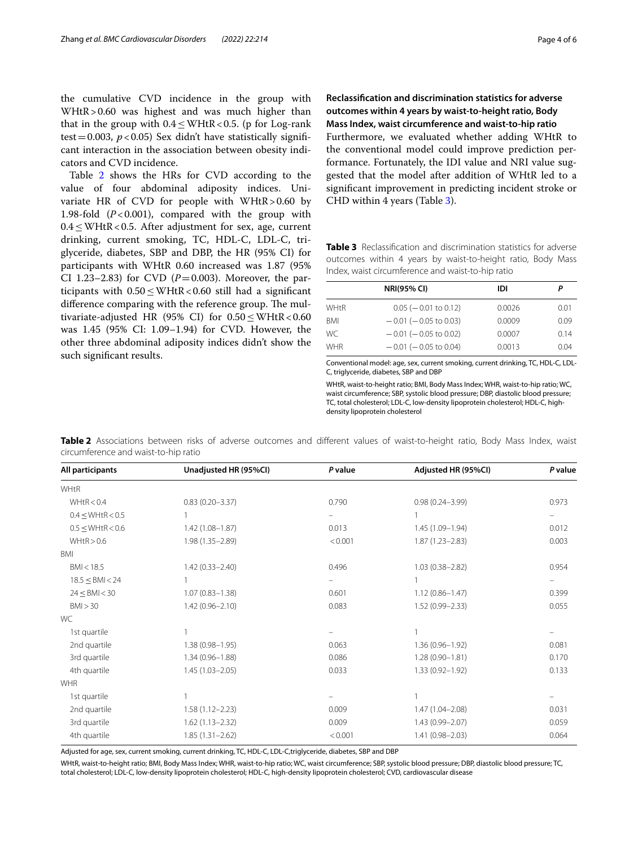the cumulative CVD incidence in the group with WHtR>0.60 was highest and was much higher than that in the group with  $0.4 \leq WHK < 0.5$ . (p for Log-rank test = 0.003,  $p < 0.05$ ) Sex didn't have statistically significant interaction in the association between obesity indicators and CVD incidence.

Table [2](#page-3-0) shows the HRs for CVD according to the value of four abdominal adiposity indices. Univariate HR of CVD for people with WHtR>0.60 by 1.98-fold  $(P<0.001)$ , compared with the group with 0.4≤WHtR<0.5. After adjustment for sex, age, current drinking, current smoking, TC, HDL-C, LDL-C, triglyceride, diabetes, SBP and DBP, the HR (95% CI) for participants with WHtR 0.60 increased was 1.87 (95% CI 1.23–2.83) for CVD ( $P=0.003$ ). Moreover, the participants with  $0.50 \leq WHK < 0.60$  still had a significant difference comparing with the reference group. The multivariate-adjusted HR (95% CI) for  $0.50 \leq WHK < 0.60$ was 1.45 (95% CI: 1.09–1.94) for CVD. However, the other three abdominal adiposity indices didn't show the such signifcant results.

**Reclassifcation and discrimination statistics for adverse outcomes within 4 years by waist‑to‑height ratio, Body Mass Index, waist circumference and waist‑to‑hip ratio** Furthermore, we evaluated whether adding WHtR to the conventional model could improve prediction performance. Fortunately, the IDI value and NRI value suggested that the model after addition of WHtR led to a signifcant improvement in predicting incident stroke or CHD within 4 years (Table [3\)](#page-3-1).

<span id="page-3-1"></span>**Table 3** Reclassifcation and discrimination statistics for adverse outcomes within 4 years by waist-to-height ratio, Body Mass Index, waist circumference and waist-to-hip ratio

|            | <b>NRI(95% CI)</b>         | idi    | Ρ    |
|------------|----------------------------|--------|------|
| WHtR       | $0.05$ ( $-0.01$ to 0.12)  | 0.0026 | 0.01 |
| BMI        | $-0.01$ ( $-0.05$ to 0.03) | 0.0009 | 0.09 |
| WC.        | $-0.01$ ( $-0.05$ to 0.02) | 0.0007 | 0.14 |
| <b>WHR</b> | $-0.01$ ( $-0.05$ to 0.04) | 0.0013 | 0.04 |

Conventional model: age, sex, current smoking, current drinking, TC, HDL-C, LDL-C, triglyceride, diabetes, SBP and DBP

WHtR, waist-to-height ratio; BMI, Body Mass Index; WHR, waist-to-hip ratio; WC, waist circumference; SBP, systolic blood pressure; DBP, diastolic blood pressure; TC, total cholesterol; LDL-C, low-density lipoprotein cholesterol; HDL-C, highdensity lipoprotein cholesterol

| All participants             | Unadjusted HR (95%CI) | P value | Adjusted HR (95%CI) | P value |
|------------------------------|-----------------------|---------|---------------------|---------|
| WHtR                         |                       |         |                     |         |
| WHtR < 0.4                   | $0.83(0.20 - 3.37)$   | 0.790   | $0.98(0.24 - 3.99)$ | 0.973   |
| $0.4 \leq \text{WHK} < 0.5$  |                       |         |                     | -       |
| $0.5 \leq \text{WHtR} < 0.6$ | $1.42(1.08 - 1.87)$   | 0.013   | 1.45 (1.09-1.94)    | 0.012   |
| WHtR > 0.6                   | $1.98(1.35 - 2.89)$   | < 0.001 | $1.87(1.23 - 2.83)$ | 0.003   |
| <b>BMI</b>                   |                       |         |                     |         |
| BMI < 18.5                   | $1.42(0.33 - 2.40)$   | 0.496   | $1.03(0.38 - 2.82)$ | 0.954   |
| $18.5 \leq$ BMI < 24         |                       |         |                     |         |
| $24 \leq$ BMI $<$ 30         | $1.07(0.83 - 1.38)$   | 0.601   | $1.12(0.86 - 1.47)$ | 0.399   |
| BMI > 30                     | $1.42(0.96 - 2.10)$   | 0.083   | $1.52(0.99 - 2.33)$ | 0.055   |
| WC.                          |                       |         |                     |         |
| 1st quartile                 |                       |         |                     |         |
| 2nd quartile                 | $1.38(0.98 - 1.95)$   | 0.063   | $1.36(0.96 - 1.92)$ | 0.081   |
| 3rd quartile                 | $1.34(0.96 - 1.88)$   | 0.086   | $1.28(0.90 - 1.81)$ | 0.170   |
| 4th quartile                 | $1.45(1.03 - 2.05)$   | 0.033   | $1.33(0.92 - 1.92)$ | 0.133   |
| <b>WHR</b>                   |                       |         |                     |         |
| 1st quartile                 |                       |         |                     |         |
| 2nd quartile                 | $1.58(1.12 - 2.23)$   | 0.009   | 1.47 (1.04-2.08)    | 0.031   |
| 3rd quartile                 | $1.62(1.13 - 2.32)$   | 0.009   | 1.43 (0.99-2.07)    | 0.059   |
| 4th quartile                 | $1.85(1.31 - 2.62)$   | < 0.001 | $1.41(0.98 - 2.03)$ | 0.064   |

<span id="page-3-0"></span>**Table 2** Associations between risks of adverse outcomes and diferent values of waist-to-height ratio, Body Mass Index, waist circumference and waist-to-hip ratio

Adjusted for age, sex, current smoking, current drinking, TC, HDL-C, LDL-C,triglyceride, diabetes, SBP and DBP

WHtR, waist-to-height ratio; BMI, Body Mass Index; WHR, waist-to-hip ratio; WC, waist circumference; SBP, systolic blood pressure; DBP, diastolic blood pressure; TC, total cholesterol; LDL-C, low-density lipoprotein cholesterol; HDL-C, high-density lipoprotein cholesterol; CVD, cardiovascular disease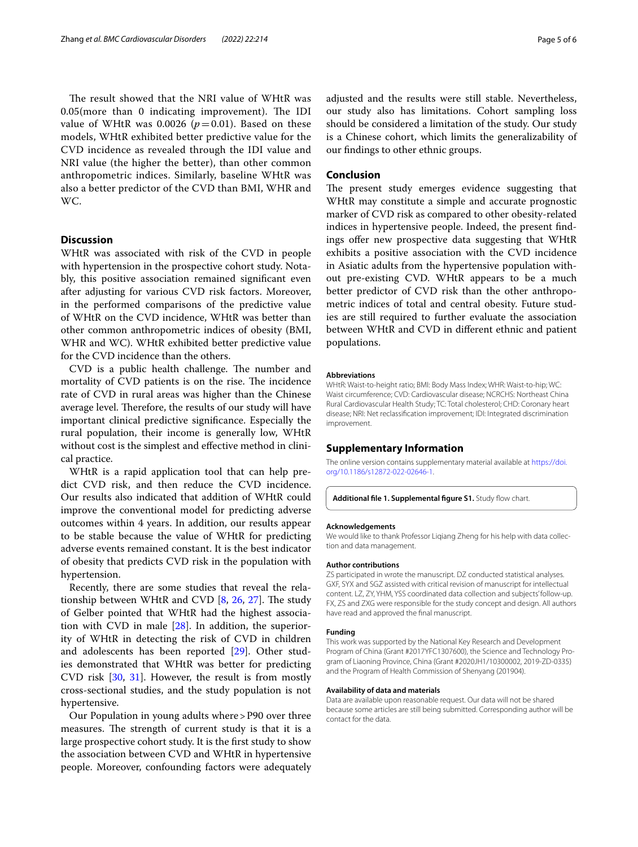The result showed that the NRI value of WHtR was  $0.05$ (more than 0 indicating improvement). The IDI value of WHtR was 0.0026  $(p=0.01)$ . Based on these models, WHtR exhibited better predictive value for the CVD incidence as revealed through the IDI value and NRI value (the higher the better), than other common anthropometric indices. Similarly, baseline WHtR was also a better predictor of the CVD than BMI, WHR and WC.

#### **Discussion**

WHtR was associated with risk of the CVD in people with hypertension in the prospective cohort study. Notably, this positive association remained signifcant even after adjusting for various CVD risk factors. Moreover, in the performed comparisons of the predictive value of WHtR on the CVD incidence, WHtR was better than other common anthropometric indices of obesity (BMI, WHR and WC). WHtR exhibited better predictive value for the CVD incidence than the others.

CVD is a public health challenge. The number and mortality of CVD patients is on the rise. The incidence rate of CVD in rural areas was higher than the Chinese average level. Therefore, the results of our study will have important clinical predictive signifcance. Especially the rural population, their income is generally low, WHtR without cost is the simplest and efective method in clinical practice.

WHtR is a rapid application tool that can help predict CVD risk, and then reduce the CVD incidence. Our results also indicated that addition of WHtR could improve the conventional model for predicting adverse outcomes within 4 years. In addition, our results appear to be stable because the value of WHtR for predicting adverse events remained constant. It is the best indicator of obesity that predicts CVD risk in the population with hypertension.

Recently, there are some studies that reveal the relationship between WHtR and CVD  $[8, 26, 27]$  $[8, 26, 27]$  $[8, 26, 27]$  $[8, 26, 27]$  $[8, 26, 27]$ . The study of Gelber pointed that WHtR had the highest association with CVD in male [[28](#page-5-22)]. In addition, the superiority of WHtR in detecting the risk of CVD in children and adolescents has been reported [[29](#page-5-23)]. Other studies demonstrated that WHtR was better for predicting CVD risk [[30,](#page-5-24) [31\]](#page-5-25). However, the result is from mostly cross-sectional studies, and the study population is not hypertensive.

Our Population in young adults where>P90 over three measures. The strength of current study is that it is a large prospective cohort study. It is the frst study to show the association between CVD and WHtR in hypertensive people. Moreover, confounding factors were adequately adjusted and the results were still stable. Nevertheless, our study also has limitations. Cohort sampling loss should be considered a limitation of the study. Our study is a Chinese cohort, which limits the generalizability of our fndings to other ethnic groups.

#### **Conclusion**

The present study emerges evidence suggesting that WHtR may constitute a simple and accurate prognostic marker of CVD risk as compared to other obesity-related indices in hypertensive people. Indeed, the present fndings offer new prospective data suggesting that WHtR exhibits a positive association with the CVD incidence in Asiatic adults from the hypertensive population without pre-existing CVD. WHtR appears to be a much better predictor of CVD risk than the other anthropometric indices of total and central obesity. Future studies are still required to further evaluate the association between WHtR and CVD in diferent ethnic and patient populations.

#### **Abbreviations**

WHtR: Waist-to-height ratio; BMI: Body Mass Index; WHR: Waist-to-hip; WC: Waist circumference; CVD: Cardiovascular disease; NCRCHS: Northeast China Rural Cardiovascular Health Study; TC: Total cholesterol; CHD: Coronary heart disease; NRI: Net reclassifcation improvement; IDI: Integrated discrimination improvement.

#### **Supplementary Information**

The online version contains supplementary material available at [https://doi.](https://doi.org/10.1186/s12872-022-02646-1) [org/10.1186/s12872-022-02646-1](https://doi.org/10.1186/s12872-022-02646-1).

<span id="page-4-0"></span>Additional file 1. Supplemental figure S1. Study flow chart.

#### **Acknowledgements**

We would like to thank Professor Liqiang Zheng for his help with data collection and data management.

#### **Author contributions**

ZS participated in wrote the manuscript. DZ conducted statistical analyses. GXF, SYX and SGZ assisted with critical revision of manuscript for intellectual content. LZ, ZY, YHM, YSS coordinated data collection and subjects' follow-up. FX, ZS and ZXG were responsible for the study concept and design. All authors have read and approved the fnal manuscript.

#### **Funding**

This work was supported by the National Key Research and Development Program of China (Grant #2017YFC1307600), the Science and Technology Program of Liaoning Province, China (Grant #2020JH1/10300002, 2019-ZD-0335) and the Program of Health Commission of Shenyang (201904).

#### **Availability of data and materials**

Data are available upon reasonable request. Our data will not be shared because some articles are still being submitted. Corresponding author will be contact for the data.